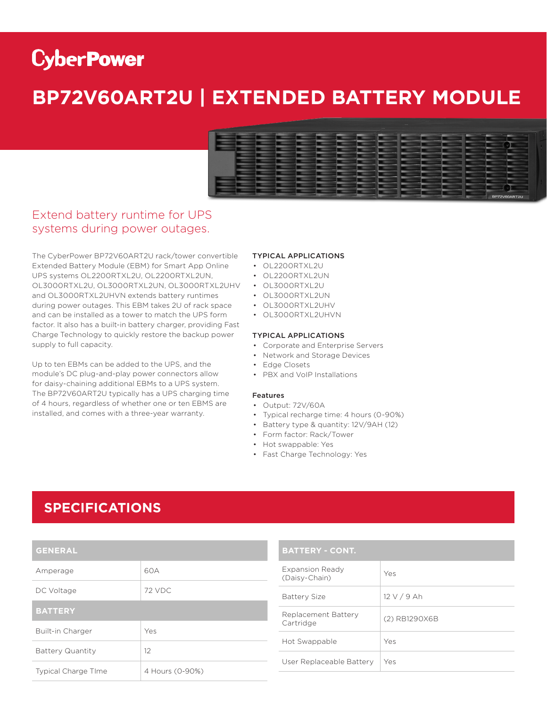# **CyberPower**

## **BP72V60ART2U | EXTENDED BATTERY MODULE**



### Extend battery runtime for UPS systems during power outages.

The CyberPower BP72V60ART2U rack/tower convertible Extended Battery Module (EBM) for Smart App Online UPS systems OL2200RTXL2U, OL2200RTXL2UN, OL3000RTXL2U, OL3000RTXL2UN, OL3000RTXL2UHV • OL3000RTXL2U and OL3000RTXL2UHVN extends battery runtimes during power outages. This EBM takes 2U of rack space and can be installed as a tower to match the UPS form factor. It also has a built-in battery charger, providing Fast Charge Technology to quickly restore the backup power supply to full capacity.

Up to ten EBMs can be added to the UPS, and the module's DC plug-and-play power connectors allow for daisy-chaining additional EBMs to a UPS system. The BP72V60ART2U typically has a UPS charging time of 4 hours, regardless of whether one or ten EBMS are installed, and comes with a three-year warranty.

#### TYPICAL APPLICATIONS

- OL2200RTXL2U
- OL2200RTXL2UN
- 
- OL3000RTXL2UN
- OL3000RTXL2UHV
- OL3000RTXL2UHVN

#### TYPICAL APPLICATIONS

- Corporate and Enterprise Servers
- Network and Storage Devices
- Edge Closets
- PBX and VoIP Installations

#### Features

- Output: 72V/60A
- Typical recharge time: 4 hours (0-90%)
- Battery type & quantity: 12V/9AH (12)
- Form factor: Rack/Tower
- Hot swappable: Yes
- Fast Charge Technology: Yes

### **SPECIFICATIONS**

| <b>GENERAL</b>             |                 |  |
|----------------------------|-----------------|--|
| Amperage                   | 60A             |  |
| DC Voltage                 | 72 VDC          |  |
| <b>BATTERY</b>             |                 |  |
| Built-in Charger           | Yes             |  |
| <b>Battery Quantity</b>    | 12              |  |
| <b>Typical Charge TIme</b> | 4 Hours (0-90%) |  |

#### **BATTERY - CONT.**

| Expansion Ready<br>(Daisy-Chain) | Yes           |
|----------------------------------|---------------|
| Battery Size                     | 12 V / 9 Ah   |
| Replacement Battery<br>Cartridge | (2) RB1290X6B |
| Hot Swappable                    | Yes           |
| User Replaceable Battery         | Yes           |
|                                  |               |